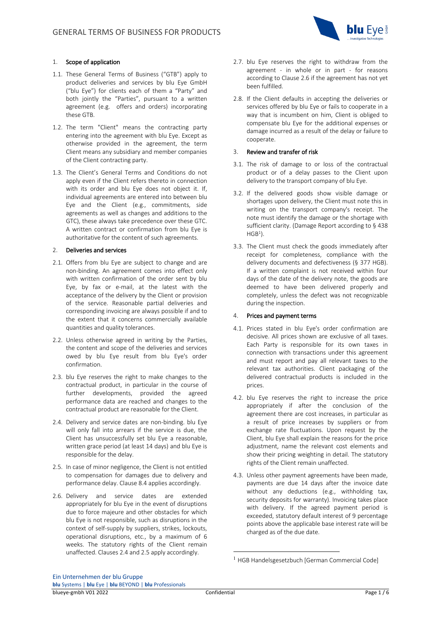

### 1. Scope of application

- 1.1. These General Terms of Business ("GTB") apply to product deliveries and services by blu Eye GmbH ("blu Eye") for clients each of them a "Party" and both jointly the "Parties", pursuant to a written agreement (e.g. offers and orders) incorporating these GTB.
- 1.2. The term "Client" means the contracting party entering into the agreement with blu Eye. Except as otherwise provided in the agreement, the term Client means any subsidiary and member companies of the Client contracting party.
- 1.3. The Client's General Terms and Conditions do not apply even if the Client refers thereto in connection with its order and blu Eye does not object it. If, individual agreements are entered into between blu Eye and the Client (e.g., commitments, side agreements as well as changes and additions to the GTC), these always take precedence over these GTC. A written contract or confirmation from blu Eye is authoritative for the content of such agreements.

#### 2. Deliveries and services

- 2.1. Offers from blu Eye are subject to change and are non-binding. An agreement comes into effect only with written confirmation of the order sent by blu Eye, by fax or e-mail, at the latest with the acceptance of the delivery by the Client or provision of the service. Reasonable partial deliveries and corresponding invoicing are always possible if and to the extent that it concerns commercially available quantities and quality tolerances.
- 2.2. Unless otherwise agreed in writing by the Parties, the content and scope of the deliveries and services owed by blu Eye result from blu Eye's order confirmation.
- 2.3. blu Eye reserves the right to make changes to the contractual product, in particular in the course of further developments, provided the agreed performance data are reached and changes to the contractual product are reasonable for the Client.
- 2.4. Delivery and service dates are non-binding. blu Eye will only fall into arrears if the service is due, the Client has unsuccessfully set blu Eye a reasonable, written grace period (at least 14 days) and blu Eye is responsible for the delay.
- 2.5. In case of minor negligence, the Client is not entitled to compensation for damages due to delivery and performance delay. Clause 8.4 applies accordingly.
- 2.6. Delivery and service dates are extended appropriately for blu Eye in the event of disruptions due to force majeure and other obstacles for which blu Eye is not responsible, such as disruptions in the context of self-supply by suppliers, strikes, lockouts, operational disruptions, etc., by a maximum of 6 weeks. The statutory rights of the Client remain unaffected. Clauses 2.4 and 2.5 apply accordingly.
- 2.7. blu Eye reserves the right to withdraw from the agreement - in whole or in part - for reasons according to Clause 2.6 if the agreement has not yet been fulfilled.
- 2.8. If the Client defaults in accepting the deliveries or services offered by blu Eye or fails to cooperate in a way that is incumbent on him, Client is obliged to compensate blu Eye for the additional expenses or damage incurred as a result of the delay or failure to cooperate.

#### 3. Review and transfer of risk

- 3.1. The risk of damage to or loss of the contractual product or of a delay passes to the Client upon delivery to the transport company of blu Eye.
- 3.2. If the delivered goods show visible damage or shortages upon delivery, the Client must note this in writing on the transport company's receipt. The note must identify the damage or the shortage with sufficient clarity. (Damage Report according to § 438  $HGB<sup>1</sup>$ ).
- 3.3. The Client must check the goods immediately after receipt for completeness, compliance with the delivery documents and defectiveness (§ 377 HGB). If a written complaint is not received within four days of the date of the delivery note, the goods are deemed to have been delivered properly and completely, unless the defect was not recognizable during the inspection.

## 4. Prices and payment terms

- 4.1. Prices stated in blu Eye's order confirmation are decisive. All prices shown are exclusive of all taxes. Each Party is responsible for its own taxes in connection with transactions under this agreement and must report and pay all relevant taxes to the relevant tax authorities. Client packaging of the delivered contractual products is included in the prices.
- 4.2. blu Eye reserves the right to increase the price appropriately if after the conclusion of the agreement there are cost increases, in particular as a result of price increases by suppliers or from exchange rate fluctuations. Upon request by the Client, blu Eye shall explain the reasons for the price adjustment, name the relevant cost elements and show their pricing weighting in detail. The statutory rights of the Client remain unaffected.
- 4.3. Unless other payment agreements have been made, payments are due 14 days after the invoice date without any deductions (e.g., withholding tax, security deposits for warranty). Invoicing takes place with delivery. If the agreed payment period is exceeded, statutory default interest of 9 percentage points above the applicable base interest rate will be charged as of the due date.

<sup>&</sup>lt;sup>1</sup> HGB Handelsgesetzbuch [German Commercial Code]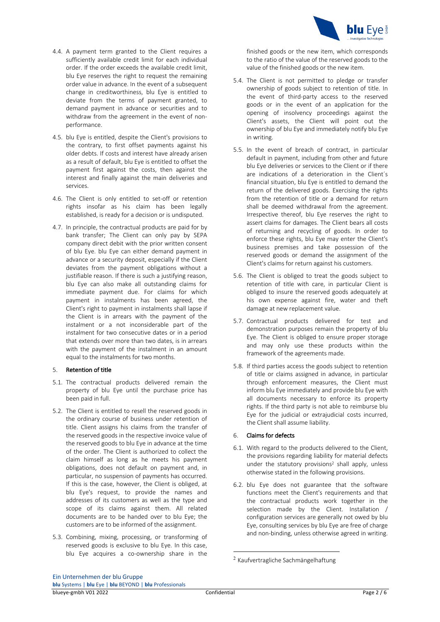

- 4.4. A payment term granted to the Client requires a sufficiently available credit limit for each individual order. If the order exceeds the available credit limit, blu Eye reserves the right to request the remaining order value in advance. In the event of a subsequent change in creditworthiness, blu Eye is entitled to deviate from the terms of payment granted, to demand payment in advance or securities and to withdraw from the agreement in the event of nonperformance.
- 4.5. blu Eye is entitled, despite the Client's provisions to the contrary, to first offset payments against his older debts. If costs and interest have already arisen as a result of default, blu Eye is entitled to offset the payment first against the costs, then against the interest and finally against the main deliveries and services.
- 4.6. The Client is only entitled to set-off or retention rights insofar as his claim has been legally established, is ready for a decision or is undisputed.
- 4.7. In principle, the contractual products are paid for by bank transfer; The Client can only pay by SEPA company direct debit with the prior written consent of blu Eye. blu Eye can either demand payment in advance or a security deposit, especially if the Client deviates from the payment obligations without a justifiable reason. If there is such a justifying reason, blu Eye can also make all outstanding claims for immediate payment due. For claims for which payment in instalments has been agreed, the Client's right to payment in instalments shall lapse if the Client is in arrears with the payment of the instalment or a not inconsiderable part of the instalment for two consecutive dates or in a period that extends over more than two dates, is in arrears with the payment of the instalment in an amount equal to the instalments for two months.

### 5. Retention of title

- 5.1. The contractual products delivered remain the property of blu Eye until the purchase price has been paid in full.
- 5.2. The Client is entitled to resell the reserved goods in the ordinary course of business under retention of title. Client assigns his claims from the transfer of the reserved goods in the respective invoice value of the reserved goods to blu Eye in advance at the time of the order. The Client is authorized to collect the claim himself as long as he meets his payment obligations, does not default on payment and, in particular, no suspension of payments has occurred. If this is the case, however, the Client is obliged, at blu Eye's request, to provide the names and addresses of its customers as well as the type and scope of its claims against them. All related documents are to be handed over to blu Eye; the customers are to be informed of the assignment.
- 5.3. Combining, mixing, processing, or transforming of reserved goods is exclusive to blu Eye. In this case, blu Eye acquires a co-ownership share in the

finished goods or the new item, which corresponds to the ratio of the value of the reserved goods to the value of the finished goods or the new item.

- 5.4. The Client is not permitted to pledge or transfer ownership of goods subject to retention of title. In the event of third-party access to the reserved goods or in the event of an application for the opening of insolvency proceedings against the Client's assets, the Client will point out the ownership of blu Eye and immediately notify blu Eye in writing.
- 5.5. In the event of breach of contract, in particular default in payment, including from other and future blu Eye deliveries or services to the Client or if there are indications of a deterioration in the Client´s financial situation, blu Eye is entitled to demand the return of the delivered goods. Exercising the rights from the retention of title or a demand for return shall be deemed withdrawal from the agreement. Irrespective thereof, blu Eye reserves the right to assert claims for damages. The Client bears all costs of returning and recycling of goods. In order to enforce these rights, blu Eye may enter the Client's business premises and take possession of the reserved goods or demand the assignment of the Client's claims for return against his customers.
- 5.6. The Client is obliged to treat the goods subject to retention of title with care, in particular Client is obliged to insure the reserved goods adequately at his own expense against fire, water and theft damage at new replacement value.
- 5.7. Contractual products delivered for test and demonstration purposes remain the property of blu Eye. The Client is obliged to ensure proper storage and may only use these products within the framework of the agreements made.
- 5.8. If third parties access the goods subject to retention of title or claims assigned in advance, in particular through enforcement measures, the Client must inform blu Eye immediately and provide blu Eye with all documents necessary to enforce its property rights. If the third party is not able to reimburse blu Eye for the judicial or extrajudicial costs incurred, the Client shall assume liability.

## 6. Claims for defects

- 6.1. With regard to the products delivered to the Client, the provisions regarding liability for material defects under the statutory provisions<sup>2</sup> shall apply, unless otherwise stated in the following provisions.
- 6.2. blu Eye does not guarantee that the software functions meet the Client's requirements and that the contractual products work together in the selection made by the Client. Installation / configuration services are generally not owed by blu Eye, consulting services by blu Eye are free of charge and non-binding, unless otherwise agreed in writing.

<sup>2</sup> Kaufvertragliche Sachmängelhaftung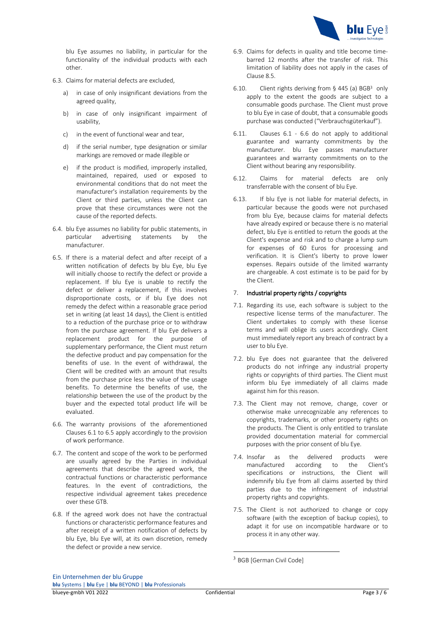

blu Eye assumes no liability, in particular for the functionality of the individual products with each other.

- 6.3. Claims for material defects are excluded,
	- a) in case of only insignificant deviations from the agreed quality,
	- b) in case of only insignificant impairment of usability,
	- c) in the event of functional wear and tear,
	- d) if the serial number, type designation or similar markings are removed or made illegible or
	- e) if the product is modified, improperly installed, maintained, repaired, used or exposed to environmental conditions that do not meet the manufacturer's installation requirements by the Client or third parties, unless the Client can prove that these circumstances were not the cause of the reported defects.
- 6.4. blu Eye assumes no liability for public statements, in particular advertising statements by the manufacturer.
- 6.5. If there is a material defect and after receipt of a written notification of defects by blu Eye, blu Eye will initially choose to rectify the defect or provide a replacement. If blu Eye is unable to rectify the defect or deliver a replacement, if this involves disproportionate costs, or if blu Eye does not remedy the defect within a reasonable grace period set in writing (at least 14 days), the Client is entitled to a reduction of the purchase price or to withdraw from the purchase agreement. If blu Eye delivers a replacement product for the purpose of supplementary performance, the Client must return the defective product and pay compensation for the benefits of use. In the event of withdrawal, the Client will be credited with an amount that results from the purchase price less the value of the usage benefits. To determine the benefits of use, the relationship between the use of the product by the buyer and the expected total product life will be evaluated.
- 6.6. The warranty provisions of the aforementioned Clauses 6.1 to 6.5 apply accordingly to the provision of work performance.
- 6.7. The content and scope of the work to be performed are usually agreed by the Parties in individual agreements that describe the agreed work, the contractual functions or characteristic performance features. In the event of contradictions, the respective individual agreement takes precedence over these GTB.
- 6.8. If the agreed work does not have the contractual functions or characteristic performance features and after receipt of a written notification of defects by blu Eye, blu Eye will, at its own discretion, remedy the defect or provide a new service.
- 6.9. Claims for defects in quality and title become timebarred 12 months after the transfer of risk. This limitation of liability does not apply in the cases of Clause 8.5.
- 6.10. Client rights deriving from  $\S$  445 (a) BGB<sup>3</sup> only apply to the extent the goods are subject to a consumable goods purchase. The Client must prove to blu Eye in case of doubt, that a consumable goods purchase was conducted ("Verbrauchsgüterkauf").
- 6.11. Clauses 6.1 6.6 do not apply to additional guarantee and warranty commitments by the manufacturer. blu Eye passes manufacturer guarantees and warranty commitments on to the Client without bearing any responsibility.
- 6.12. Claims for material defects are only transferrable with the consent of blu Eye.
- 6.13. If blu Eye is not liable for material defects, in particular because the goods were not purchased from blu Eye, because claims for material defects have already expired or because there is no material defect, blu Eye is entitled to return the goods at the Client's expense and risk and to charge a lump sum for expenses of 60 Euros for processing and verification. It is Client's liberty to prove lower expenses. Repairs outside of the limited warranty are chargeable. A cost estimate is to be paid for by the Client.

## 7. Industrial property rights / copyrights

- 7.1. Regarding its use, each software is subject to the respective license terms of the manufacturer. The Client undertakes to comply with these license terms and will oblige its users accordingly. Client must immediately report any breach of contract by a user to blu Eye.
- 7.2. blu Eye does not guarantee that the delivered products do not infringe any industrial property rights or copyrights of third parties. The Client must inform blu Eye immediately of all claims made against him for this reason.
- 7.3. The Client may not remove, change, cover or otherwise make unrecognizable any references to copyrights, trademarks, or other property rights on the products. The Client is only entitled to translate provided documentation material for commercial purposes with the prior consent of blu Eye.
- 7.4. Insofar as the delivered products were manufactured according to the Client's specifications or instructions, the Client will indemnify blu Eye from all claims asserted by third parties due to the infringement of industrial property rights and copyrights.
- 7.5. The Client is not authorized to change or copy software (with the exception of backup copies), to adapt it for use on incompatible hardware or to process it in any other way.

<sup>3</sup> BGB [German Civil Code]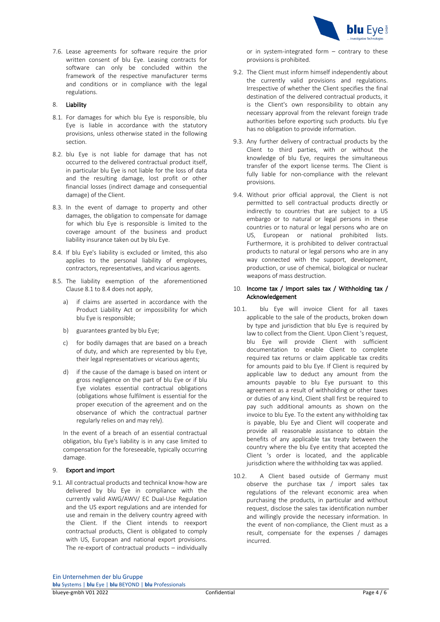

7.6. Lease agreements for software require the prior written consent of blu Eye. Leasing contracts for software can only be concluded within the framework of the respective manufacturer terms and conditions or in compliance with the legal regulations.

## 8. Liability

- 8.1. For damages for which blu Eye is responsible, blu Eye is liable in accordance with the statutory provisions, unless otherwise stated in the following section.
- 8.2. blu Eye is not liable for damage that has not occurred to the delivered contractual product itself, in particular blu Eye is not liable for the loss of data and the resulting damage, lost profit or other financial losses (indirect damage and consequential damage) of the Client.
- 8.3. In the event of damage to property and other damages, the obligation to compensate for damage for which blu Eye is responsible is limited to the coverage amount of the business and product liability insurance taken out by blu Eye.
- 8.4. If blu Eye's liability is excluded or limited, this also applies to the personal liability of employees, contractors, representatives, and vicarious agents.
- 8.5. The liability exemption of the aforementioned Clause 8.1 to 8.4 does not apply,
	- a) if claims are asserted in accordance with the Product Liability Act or impossibility for which blu Eye is responsible;
	- b) guarantees granted by blu Eye;
	- c) for bodily damages that are based on a breach of duty, and which are represented by blu Eye, their legal representatives or vicarious agents;
	- d) if the cause of the damage is based on intent or gross negligence on the part of blu Eye or if blu Eye violates essential contractual obligations (obligations whose fulfilment is essential for the proper execution of the agreement and on the observance of which the contractual partner regularly relies on and may rely).

In the event of a breach of an essential contractual obligation, blu Eye's liability is in any case limited to compensation for the foreseeable, typically occurring damage.

#### 9. Export and import

9.1. All contractual products and technical know-how are delivered by blu Eye in compliance with the currently valid AWG/AWV/ EC Dual-Use Regulation and the US export regulations and are intended for use and remain in the delivery country agreed with the Client. If the Client intends to reexport contractual products, Client is obligated to comply with US. European and national export provisions. The re-export of contractual products – individually

or in system-integrated form – contrary to these provisions is prohibited.

- 9.2. The Client must inform himself independently about the currently valid provisions and regulations. Irrespective of whether the Client specifies the final destination of the delivered contractual products, it is the Client's own responsibility to obtain any necessary approval from the relevant foreign trade authorities before exporting such products. blu Eye has no obligation to provide information.
- 9.3. Any further delivery of contractual products by the Client to third parties, with or without the knowledge of blu Eye, requires the simultaneous transfer of the export license terms. The Client is fully liable for non-compliance with the relevant provisions.
- 9.4. Without prior official approval, the Client is not permitted to sell contractual products directly or indirectly to countries that are subject to a US embargo or to natural or legal persons in these countries or to natural or legal persons who are on US, European or national prohibited lists. Furthermore, it is prohibited to deliver contractual products to natural or legal persons who are in any way connected with the support, development, production, or use of chemical, biological or nuclear weapons of mass destruction.

### 10. Income tax / Import sales tax / Withholding tax / Acknowledgement

- 10.1. blu Eye will invoice Client for all taxes applicable to the sale of the products, broken down by type and jurisdiction that blu Eye is required by law to collect from the Client. Upon Client 's request, blu Eye will provide Client with sufficient documentation to enable Client to complete required tax returns or claim applicable tax credits for amounts paid to blu Eye. If Client is required by applicable law to deduct any amount from the amounts payable to blu Eye pursuant to this agreement as a result of withholding or other taxes or duties of any kind, Client shall first be required to pay such additional amounts as shown on the invoice to blu Eye. To the extent any withholding tax is payable, blu Eye and Client will cooperate and provide all reasonable assistance to obtain the benefits of any applicable tax treaty between the country where the blu Eye entity that accepted the Client 's order is located, and the applicable jurisdiction where the withholding tax was applied.
- 10.2. A Client based outside of Germany must observe the purchase tax / import sales tax regulations of the relevant economic area when purchasing the products, in particular and without request, disclose the sales tax identification number and willingly provide the necessary information. In the event of non-compliance, the Client must as a result, compensate for the expenses / damages incurred.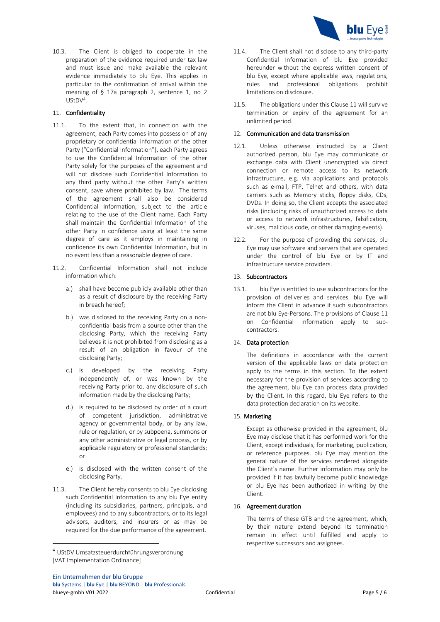

10.3. The Client is obliged to cooperate in the preparation of the evidence required under tax law and must issue and make available the relevant evidence immediately to blu Eye. This applies in particular to the confirmation of arrival within the meaning of § 17a paragraph 2, sentence 1, no 2 UStDV4.

# 11. Confidentiality

- 11.1. To the extent that, in connection with the agreement, each Party comes into possession of any proprietary or confidential information of the other Party ("Confidential Information"), each Party agrees to use the Confidential Information of the other Party solely for the purposes of the agreement and will not disclose such Confidential Information to any third party without the other Party's written consent, save where prohibited by law. The terms of the agreement shall also be considered Confidential Information, subject to the article relating to the use of the Client name. Each Party shall maintain the Confidential Information of the other Party in confidence using at least the same degree of care as it employs in maintaining in confidence its own Confidential Information, but in no event less than a reasonable degree of care.
- 11.2. Confidential Information shall not include information which:
	- a.) shall have become publicly available other than as a result of disclosure by the receiving Party in breach hereof;
	- b.) was disclosed to the receiving Party on a nonconfidential basis from a source other than the disclosing Party, which the receiving Party believes it is not prohibited from disclosing as a result of an obligation in favour of the disclosing Party;
	- c.) is developed by the receiving Party independently of, or was known by the receiving Party prior to, any disclosure of such information made by the disclosing Party;
	- d.) is required to be disclosed by order of a court of competent jurisdiction, administrative agency or governmental body, or by any law, rule or regulation, or by subpoena, summons or any other administrative or legal process, or by applicable regulatory or professional standards; or
	- e.) is disclosed with the written consent of the disclosing Party.
- 11.3. The Client hereby consents to blu Eye disclosing such Confidential Information to any blu Eye entity (including its subsidiaries, partners, principals, and employees) and to any subcontractors, or to its legal advisors, auditors, and insurers or as may be required for the due performance of the agreement.
- 11.4. The Client shall not disclose to any third-party Confidential Information of blu Eye provided hereunder without the express written consent of blu Eye, except where applicable laws, regulations, rules and professional obligations prohibit limitations on disclosure.
- 11.5. The obligations under this Clause 11 will survive termination or expiry of the agreement for an unlimited period.

#### 12. Communication and data transmission

- 12.1. Unless otherwise instructed by a Client authorized person, blu Eye may communicate or exchange data with Client unencrypted via direct connection or remote access to its network infrastructure, e.g. via applications and protocols such as e-mail, FTP, Telnet and others, with data carriers such as Memory sticks, floppy disks, CDs, DVDs. In doing so, the Client accepts the associated risks (including risks of unauthorized access to data or access to network infrastructures, falsification, viruses, malicious code, or other damaging events).
- 12.2. For the purpose of providing the services, blu Eye may use software and servers that are operated under the control of blu Eye or by IT and infrastructure service providers.

### 13. Subcontractors

13.1. blu Eye is entitled to use subcontractors for the provision of deliveries and services. blu Eye will inform the Client in advance if such subcontractors are not blu Eye-Persons. The provisions of Clause 11 on Confidential Information apply to subcontractors.

## 14. Data protection

The definitions in accordance with the current version of the applicable laws on data protection apply to the terms in this section. To the extent necessary for the provision of services according to the agreement, blu Eye can process data provided by the Client. In this regard, blu Eye refers to the data protection declaration on its website.

## 15. Marketing

Except as otherwise provided in the agreement, blu Eye may disclose that it has performed work for the Client, except individuals, for marketing, publication, or reference purposes. blu Eye may mention the general nature of the services rendered alongside the Client's name. Further information may only be provided if it has lawfully become public knowledge or blu Eye has been authorized in writing by the Client.

### 16. Agreement duration

The terms of these GTB and the agreement, which, by their nature extend beyond its termination remain in effect until fulfilled and apply to respective successors and assignees.

<sup>4</sup> UStDV Umsatzsteuerdurchführungsverordnung [VAT Implementation Ordinance]